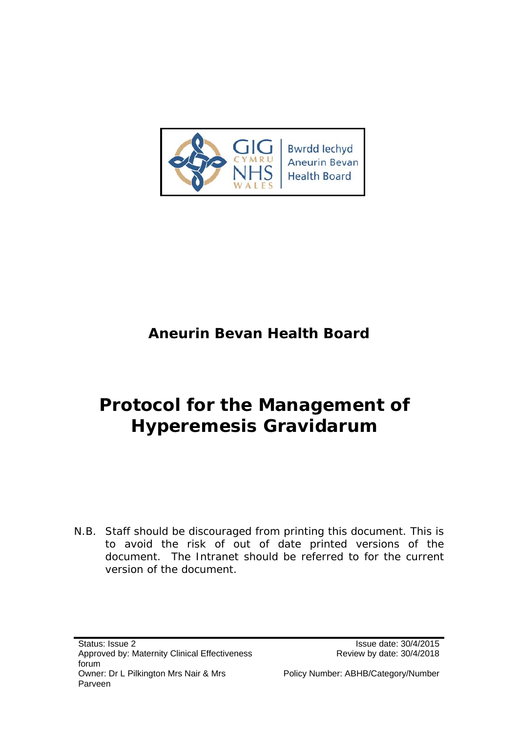

# **Aneurin Bevan Health Board**

# **Protocol for the Management of Hyperemesis Gravidarum**

*N.B. Staff should be discouraged from printing this document. This is to avoid the risk of out of date printed versions of the document. The Intranet should be referred to for the current version of the document.*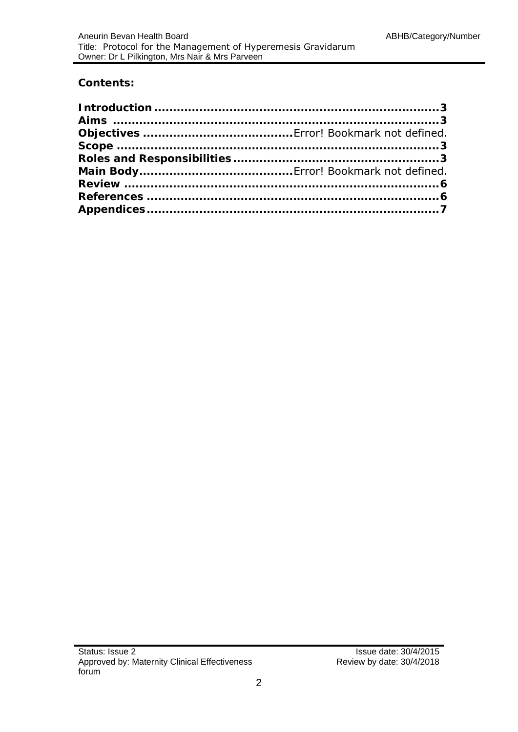### **Contents:**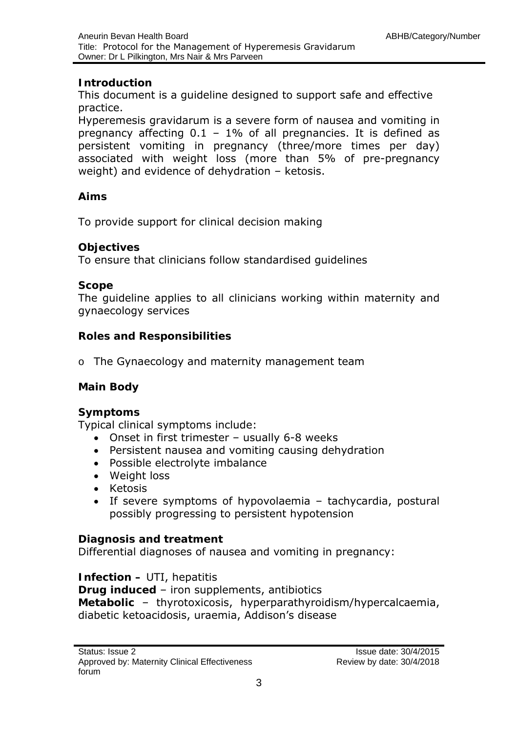### <span id="page-2-0"></span>**Introduction**

This document is a guideline designed to support safe and effective practice.

Hyperemesis gravidarum is a severe form of nausea and vomiting in pregnancy affecting  $0.1 - 1\%$  of all pregnancies. It is defined as persistent vomiting in pregnancy (three/more times per day) associated with weight loss (more than 5% of pre-pregnancy weight) and evidence of dehydration – ketosis.

# **Aims**

To provide support for clinical decision making

### **Objectives**

To ensure that clinicians follow standardised guidelines

### **Scope**

The guideline applies to all clinicians working within maternity and gynaecology services

# **Roles and Responsibilities**

o The Gynaecology and maternity management team

### **Main Body**

### **Symptoms**

Typical clinical symptoms include:

- Onset in first trimester usually 6-8 weeks
- Persistent nausea and vomiting causing dehydration
- Possible electrolyte imbalance
- Weight loss
- Ketosis
- If severe symptoms of hypovolaemia tachycardia, postural possibly progressing to persistent hypotension

### **Diagnosis and treatment**

Differential diagnoses of nausea and vomiting in pregnancy:

### **Infection – UTI, hepatitis**

**Drug induced** – iron supplements, antibiotics **Metabolic** – thyrotoxicosis, hyperparathyroidism/hypercalcaemia, diabetic ketoacidosis, uraemia, Addison's disease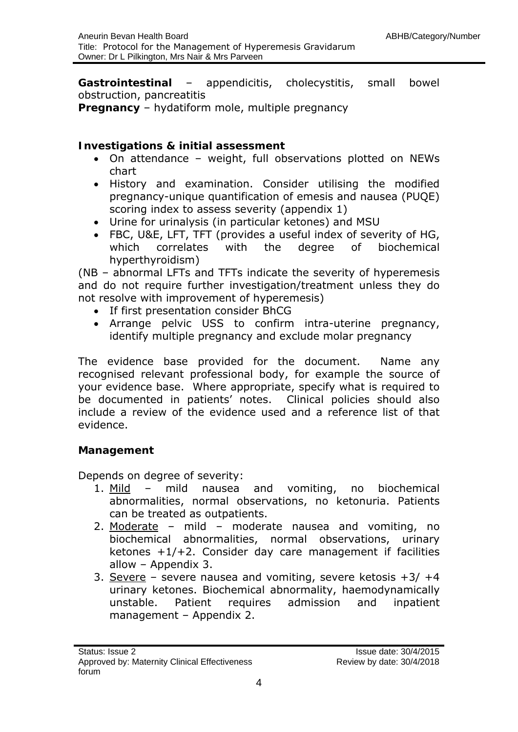**Gastrointestinal** – appendicitis, cholecystitis, small bowel obstruction, pancreatitis

**Pregnancy** – hydatiform mole, multiple pregnancy

#### **Investigations & initial assessment**

- On attendance weight, full observations plotted on NEWs chart
- History and examination. Consider utilising the modified pregnancy-unique quantification of emesis and nausea (PUQE) scoring index to assess severity (appendix 1)
- Urine for urinalysis (in particular ketones) and MSU
- FBC, U&E, LFT, TFT (provides a useful index of severity of HG, which correlates with the degree of biochemical hyperthyroidism)

(NB – abnormal LFTs and TFTs indicate the severity of hyperemesis and do not require further investigation/treatment unless they do not resolve with improvement of hyperemesis)

- If first presentation consider BhCG
- Arrange pelvic USS to confirm intra-uterine pregnancy, identify multiple pregnancy and exclude molar pregnancy

The evidence base provided for the document. Name any recognised relevant professional body, for example the source of your evidence base. Where appropriate, specify what is required to be documented in patients' notes. Clinical policies should also include a review of the evidence used and a reference list of that evidence.

### **Management**

Depends on degree of severity:

- 1. Mild mild nausea and vomiting, no biochemical abnormalities, normal observations, no ketonuria. Patients can be treated as outpatients.
- 2. Moderate mild moderate nausea and vomiting, no biochemical abnormalities, normal observations, urinary ketones  $+1/+2$ . Consider day care management if facilities allow – Appendix 3.
- 3. Severe severe nausea and vomiting, severe ketosis  $+3/ +4$ urinary ketones. Biochemical abnormality, haemodynamically unstable. Patient requires admission and inpatient management – Appendix 2.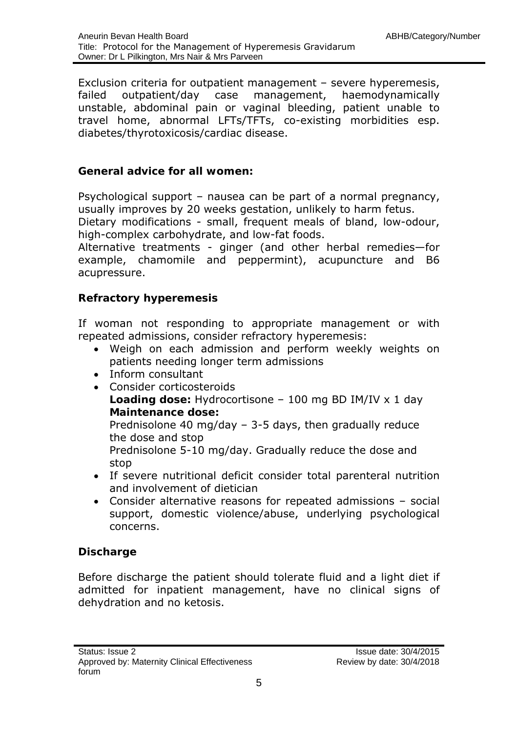Exclusion criteria for outpatient management – severe hyperemesis, failed outpatient/day case management, haemodynamically unstable, abdominal pain or vaginal bleeding, patient unable to travel home, abnormal LFTs/TFTs, co-existing morbidities esp. diabetes/thyrotoxicosis/cardiac disease.

#### **General advice for all women:**

Psychological support – nausea can be part of a normal pregnancy, usually improves by 20 weeks gestation, unlikely to harm fetus.

Dietary modifications - small, frequent meals of bland, low-odour, high-complex carbohydrate, and low-fat foods.

Alternative treatments - ginger (and other herbal remedies—for example, chamomile and peppermint), acupuncture and B6 acupressure.

#### **Refractory hyperemesis**

If woman not responding to appropriate management or with repeated admissions, consider refractory hyperemesis:

- Weigh on each admission and perform weekly weights on patients needing longer term admissions
- Inform consultant
- Consider corticosteroids
	- **Loading dose:** Hydrocortisone 100 mg BD IM/IV x 1 day **Maintenance dose:**

Prednisolone 40 mg/day – 3-5 days, then gradually reduce the dose and stop

Prednisolone 5-10 mg/day. Gradually reduce the dose and stop

- If severe nutritional deficit consider total parenteral nutrition and involvement of dietician
- Consider alternative reasons for repeated admissions social support, domestic violence/abuse, underlying psychological concerns.

### **Discharge**

Before discharge the patient should tolerate fluid and a light diet if admitted for inpatient management, have no clinical signs of dehydration and no ketosis.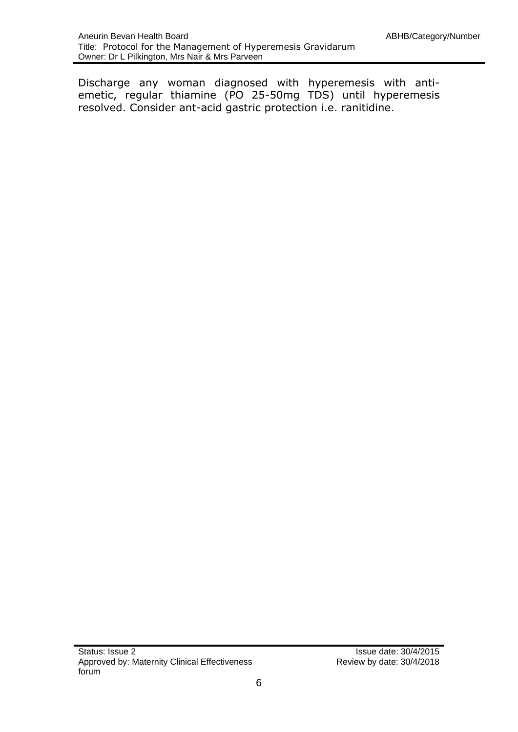Discharge any woman diagnosed with hyperemesis with antiemetic, regular thiamine (PO 25-50mg TDS) until hyperemesis resolved. Consider ant-acid gastric protection i.e. ranitidine.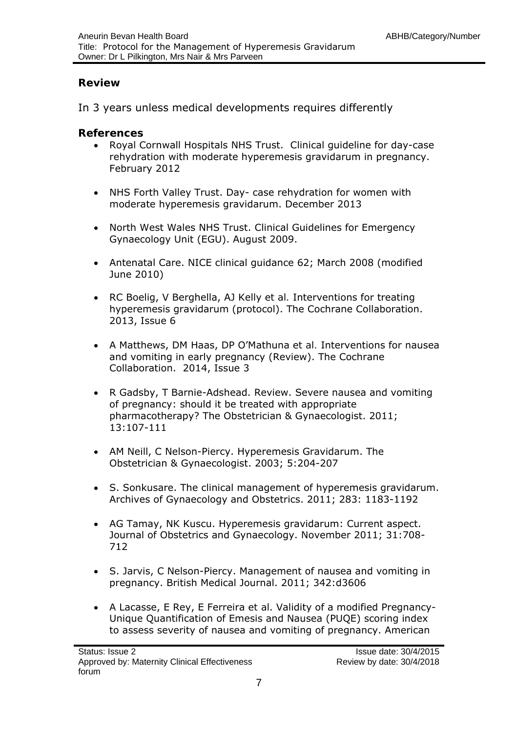#### <span id="page-6-0"></span>**Review**

In 3 years unless medical developments requires differently

#### **References**

- Royal Cornwall Hospitals NHS Trust. Clinical guideline for day-case rehydration with moderate hyperemesis gravidarum in pregnancy. February 2012
- NHS Forth Valley Trust. Day- case rehydration for women with moderate hyperemesis gravidarum. December 2013
- North West Wales NHS Trust. Clinical Guidelines for Emergency Gynaecology Unit (EGU). August 2009.
- Antenatal Care. NICE clinical guidance 62; March 2008 (modified June 2010)
- RC Boelig, V Berghella, AJ Kelly *et al.* Interventions for treating hyperemesis gravidarum (protocol). The Cochrane Collaboration. 2013, Issue 6
- A Matthews, DM Haas, DP O'Mathuna *et al.* Interventions for nausea and vomiting in early pregnancy (Review). The Cochrane Collaboration. 2014, Issue 3
- R Gadsby, T Barnie-Adshead. Review. Severe nausea and vomiting of pregnancy: should it be treated with appropriate pharmacotherapy? The Obstetrician & Gynaecologist. 2011; 13:107-111
- AM Neill, C Nelson-Piercy. Hyperemesis Gravidarum. The Obstetrician & Gynaecologist. 2003; 5:204-207
- S. Sonkusare. The clinical management of hyperemesis gravidarum. Archives of Gynaecology and Obstetrics. 2011; 283: 1183-1192
- AG Tamay, NK Kuscu. Hyperemesis gravidarum: Current aspect. Journal of Obstetrics and Gynaecology. November 2011; 31:708- 712
- S. Jarvis, C Nelson-Piercy. Management of nausea and vomiting in pregnancy. British Medical Journal. 2011; 342:d3606
- A Lacasse, E Rey, E Ferreira *et al*. Validity of a modified Pregnancy-Unique Quantification of Emesis and Nausea (PUQE) scoring index to assess severity of nausea and vomiting of pregnancy. American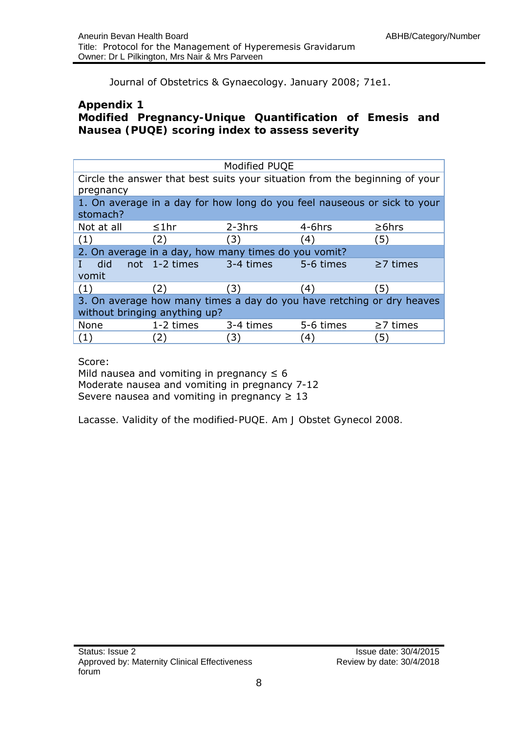Journal of Obstetrics & Gynaecology. January 2008; 71e1.

#### <span id="page-7-0"></span>**Appendix 1 Modified Pregnancy-Unique Quantification of Emesis and Nausea (PUQE) scoring index to assess severity**

| Modified PUQE                                                                            |               |           |           |                |  |  |
|------------------------------------------------------------------------------------------|---------------|-----------|-----------|----------------|--|--|
| Circle the answer that best suits your situation from the beginning of your<br>pregnancy |               |           |           |                |  |  |
| 1. On average in a day for how long do you feel nauseous or sick to your<br>stomach?     |               |           |           |                |  |  |
| Not at all                                                                               | $\leq 1$ hr   | $2-3$ hrs | $4-6$ hrs | $\geq 6$ hrs   |  |  |
| (1)                                                                                      | (2)           | (3)       | (4)       | (5)            |  |  |
| 2. On average in a day, how many times do you vomit?                                     |               |           |           |                |  |  |
| did<br>vomit                                                                             | not 1-2 times | 3-4 times | 5-6 times | $\geq$ 7 times |  |  |
| (1)                                                                                      | 2)            | (3)       | (4)       | (5)            |  |  |
| 3. On average how many times a day do you have retching or dry heaves                    |               |           |           |                |  |  |
| without bringing anything up?                                                            |               |           |           |                |  |  |
| None                                                                                     | 1-2 times     | 3-4 times | 5-6 times | $\geq$ 7 times |  |  |
| (1)                                                                                      |               | [3]       | 4)        | 〔5〕            |  |  |

Score:

Mild nausea and vomiting in pregnancy  $\leq 6$ Moderate nausea and vomiting in pregnancy 7-12 Severe nausea and vomiting in pregnancy  $\geq 13$ 

Lacasse. Validity of the modified-PUQE. Am J Obstet Gynecol 2008.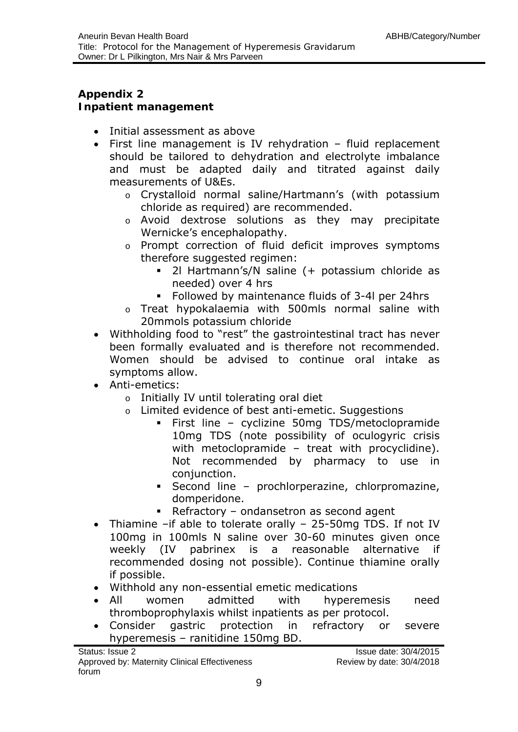# **Appendix 2 Inpatient management**

- Initial assessment as above
- First line management is IV rehydration fluid replacement should be tailored to dehydration and electrolyte imbalance and must be adapted daily and titrated against daily measurements of U&Es.
	- o Crystalloid normal saline/Hartmann's (with potassium chloride as required) are recommended.
	- o Avoid dextrose solutions as they may precipitate Wernicke's encephalopathy.
	- o Prompt correction of fluid deficit improves symptoms therefore suggested regimen:
		- 2l Hartmann's/N saline (+ potassium chloride as needed) over 4 hrs
		- Followed by maintenance fluids of 3-4l per 24hrs
	- o Treat hypokalaemia with 500mls normal saline with 20mmols potassium chloride
- Withholding food to "rest" the gastrointestinal tract has never been formally evaluated and is therefore not recommended. Women should be advised to continue oral intake as symptoms allow.
- Anti-emetics:
	- o Initially IV until tolerating oral diet
	- o Limited evidence of best anti-emetic. Suggestions
		- First line cyclizine 50mg TDS/metoclopramide 10mg TDS (note possibility of oculogyric crisis with metoclopramide - treat with procyclidine). Not recommended by pharmacy to use in conjunction.
		- Second line prochlorperazine, chlorpromazine, domperidone.
		- Refractory ondansetron as second agent
- Thiamine –if able to tolerate orally 25-50mg TDS. If not IV 100mg in 100mls N saline over 30-60 minutes given once weekly (IV pabrinex is a reasonable alternative if recommended dosing not possible). Continue thiamine orally if possible.
- Withhold any non-essential emetic medications
- All women admitted with hyperemesis need thromboprophylaxis whilst inpatients as per protocol.
- Consider gastric protection in refractory or severe hyperemesis – ranitidine 150mg BD.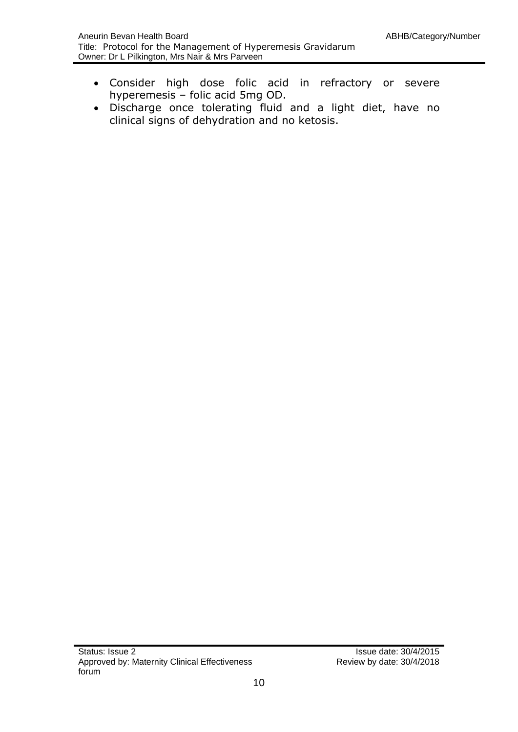- Consider high dose folic acid in refractory or severe hyperemesis – folic acid 5mg OD.
- Discharge once tolerating fluid and a light diet, have no clinical signs of dehydration and no ketosis.